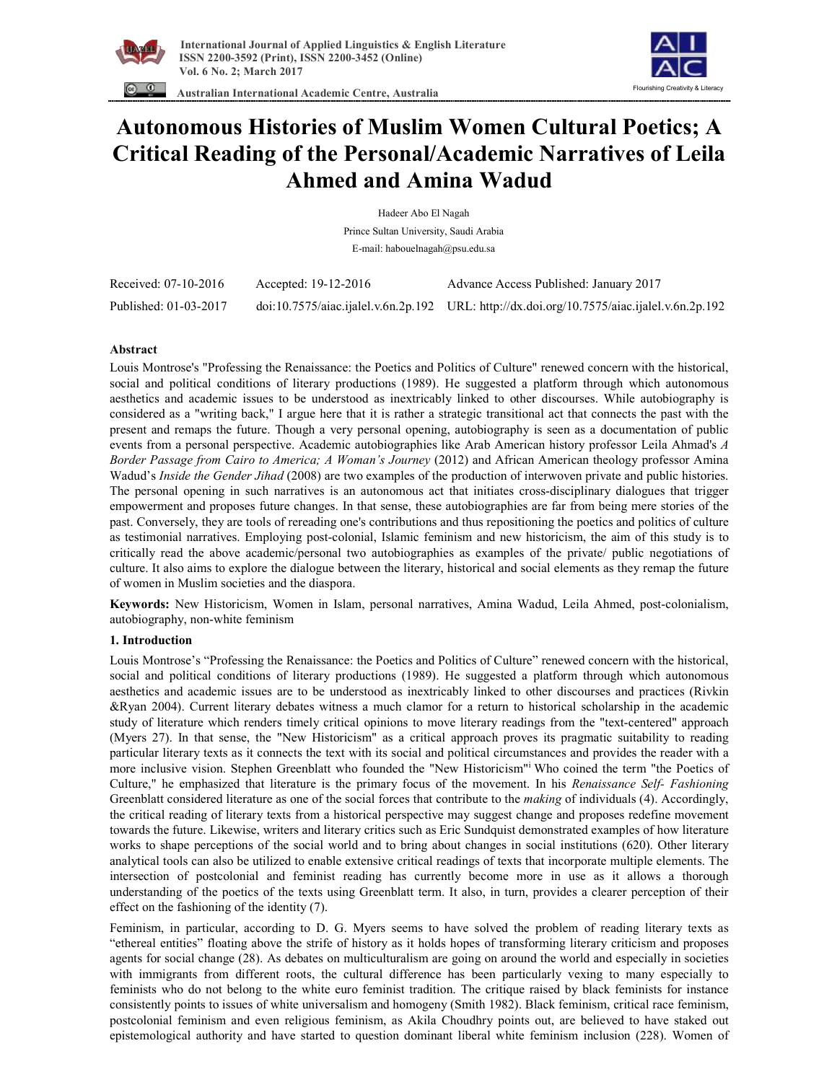



 **Australian International Academic Centre, Australia** 

# **Autonomous Histories of Muslim Women Cultural Poetics; A Critical Reading of the Personal/Academic Narratives of Leila Ahmed and Amina Wadud**

| Hadeer Abo El Nagah<br>Prince Sultan University, Saudi Arabia<br>E-mail: habouelnagah@psu.edu.sa |  |                                                                                            |                      |                      |                                        |
|--------------------------------------------------------------------------------------------------|--|--------------------------------------------------------------------------------------------|----------------------|----------------------|----------------------------------------|
|                                                                                                  |  |                                                                                            |                      |                      |                                        |
|                                                                                                  |  |                                                                                            | Received: 07-10-2016 | Accepted: 19-12-2016 | Advance Access Published: January 2017 |
| Published: 01-03-2017                                                                            |  | doi:10.7575/aiac.ijalel.v.6n.2p.192 URL: http://dx.doi.org/10.7575/aiac.ijalel.v.6n.2p.192 |                      |                      |                                        |

# **Abstract**

Louis Montrose's "Professing the Renaissance: the Poetics and Politics of Culture" renewed concern with the historical, social and political conditions of literary productions (1989). He suggested a platform through which autonomous aesthetics and academic issues to be understood as inextricably linked to other discourses. While autobiography is considered as a "writing back," I argue here that it is rather a strategic transitional act that connects the past with the present and remaps the future. Though a very personal opening, autobiography is seen as a documentation of public events from a personal perspective. Academic autobiographies like Arab American history professor Leila Ahmad's *A Border Passage from Cairo to America; A Woman's Journey* (2012) and African American theology professor Amina Wadud's *Inside the Gender Jihad* (2008) are two examples of the production of interwoven private and public histories. The personal opening in such narratives is an autonomous act that initiates cross-disciplinary dialogues that trigger empowerment and proposes future changes. In that sense, these autobiographies are far from being mere stories of the past. Conversely, they are tools of rereading one's contributions and thus repositioning the poetics and politics of culture as testimonial narratives. Employing post-colonial, Islamic feminism and new historicism, the aim of this study is to critically read the above academic/personal two autobiographies as examples of the private/ public negotiations of culture. It also aims to explore the dialogue between the literary, historical and social elements as they remap the future of women in Muslim societies and the diaspora.

**Keywords:** New Historicism, Women in Islam, personal narratives, Amina Wadud, Leila Ahmed, post-colonialism, autobiography, non-white feminism

## **1. Introduction**

Louis Montrose's "Professing the Renaissance: the Poetics and Politics of Culture" renewed concern with the historical, social and political conditions of literary productions (1989). He suggested a platform through which autonomous aesthetics and academic issues are to be understood as inextricably linked to other discourses and practices (Rivkin &Ryan 2004). Current literary debates witness a much clamor for a return to historical scholarship in the academic study of literature which renders timely critical opinions to move literary readings from the "text-centered" approach (Myers 27). In that sense, the "New Historicism" as a critical approach proves its pragmatic suitability to reading particular literary texts as it connects the text with its social and political circumstances and provides the reader with a more inclusive vision. Stephen Greenblatt who founded the "New Historicism"<sup>i</sup> Who coined the term "the Poetics of Culture," he emphasized that literature is the primary focus of the movement. In his *Renaissance Self- Fashioning* Greenblatt considered literature as one of the social forces that contribute to the *making* of individuals (4). Accordingly, the critical reading of literary texts from a historical perspective may suggest change and proposes redefine movement towards the future. Likewise, writers and literary critics such as Eric Sundquist demonstrated examples of how literature works to shape perceptions of the social world and to bring about changes in social institutions (620). Other literary analytical tools can also be utilized to enable extensive critical readings of texts that incorporate multiple elements. The intersection of postcolonial and feminist reading has currently become more in use as it allows a thorough understanding of the poetics of the texts using Greenblatt term. It also, in turn, provides a clearer perception of their effect on the fashioning of the identity (7).

Feminism, in particular, according to D. G. Myers seems to have solved the problem of reading literary texts as "ethereal entities" floating above the strife of history as it holds hopes of transforming literary criticism and proposes agents for social change (28). As debates on multiculturalism are going on around the world and especially in societies with immigrants from different roots, the cultural difference has been particularly vexing to many especially to feminists who do not belong to the white euro feminist tradition. The critique raised by black feminists for instance consistently points to issues of white universalism and homogeny (Smith 1982). Black feminism, critical race feminism, postcolonial feminism and even religious feminism, as Akila Choudhry points out, are believed to have staked out epistemological authority and have started to question dominant liberal white feminism inclusion (228). Women of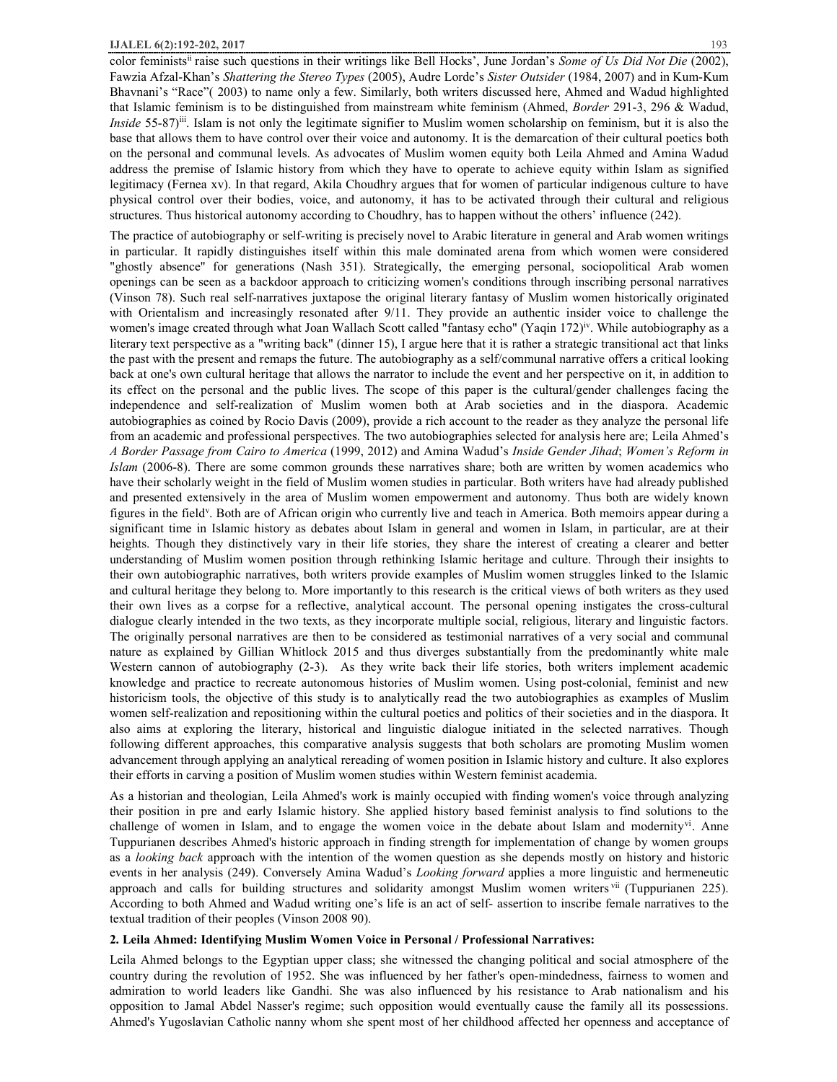color feministsii raise such questions in their writings like Bell Hocks', June Jordan's *Some of Us Did Not Die* (2002), Fawzia Afzal-Khan's *Shattering the Stereo Types* (2005), Audre Lorde's *Sister Outsider* (1984, 2007) and in Kum-Kum Bhavnani's "Race"( 2003) to name only a few. Similarly, both writers discussed here, Ahmed and Wadud highlighted that Islamic feminism is to be distinguished from mainstream white feminism (Ahmed, *Border* 291-3, 296 & Wadud, *Inside* 55-87)<sup>ii</sup>. Islam is not only the legitimate signifier to Muslim women scholarship on feminism, but it is also the base that allows them to have control over their voice and autonomy. It is the demarcation of their cultural poetics both on the personal and communal levels. As advocates of Muslim women equity both Leila Ahmed and Amina Wadud address the premise of Islamic history from which they have to operate to achieve equity within Islam as signified legitimacy (Fernea xv). In that regard, Akila Choudhry argues that for women of particular indigenous culture to have physical control over their bodies, voice, and autonomy, it has to be activated through their cultural and religious structures. Thus historical autonomy according to Choudhry, has to happen without the others' influence (242).

The practice of autobiography or self-writing is precisely novel to Arabic literature in general and Arab women writings in particular. It rapidly distinguishes itself within this male dominated arena from which women were considered "ghostly absence" for generations (Nash 351). Strategically, the emerging personal, sociopolitical Arab women openings can be seen as a backdoor approach to criticizing women's conditions through inscribing personal narratives (Vinson 78). Such real self-narratives juxtapose the original literary fantasy of Muslim women historically originated with Orientalism and increasingly resonated after 9/11. They provide an authentic insider voice to challenge the women's image created through what Joan Wallach Scott called "fantasy echo" (Yaqin 172)<sup>iv</sup>. While autobiography as a literary text perspective as a "writing back" (dinner 15), I argue here that it is rather a strategic transitional act that links the past with the present and remaps the future. The autobiography as a self/communal narrative offers a critical looking back at one's own cultural heritage that allows the narrator to include the event and her perspective on it, in addition to its effect on the personal and the public lives. The scope of this paper is the cultural/gender challenges facing the independence and self-realization of Muslim women both at Arab societies and in the diaspora. Academic autobiographies as coined by Rocio Davis (2009), provide a rich account to the reader as they analyze the personal life from an academic and professional perspectives. The two autobiographies selected for analysis here are; Leila Ahmed's *A Border Passage from Cairo to America* (1999, 2012) and Amina Wadud's *Inside Gender Jihad*; *Women's Reform in Islam* (2006-8). There are some common grounds these narratives share; both are written by women academics who have their scholarly weight in the field of Muslim women studies in particular. Both writers have had already published and presented extensively in the area of Muslim women empowerment and autonomy. Thus both are widely known figures in the field<sup>y</sup>. Both are of African origin who currently live and teach in America. Both memoirs appear during a significant time in Islamic history as debates about Islam in general and women in Islam, in particular, are at their heights. Though they distinctively vary in their life stories, they share the interest of creating a clearer and better understanding of Muslim women position through rethinking Islamic heritage and culture. Through their insights to their own autobiographic narratives, both writers provide examples of Muslim women struggles linked to the Islamic and cultural heritage they belong to. More importantly to this research is the critical views of both writers as they used their own lives as a corpse for a reflective, analytical account. The personal opening instigates the cross-cultural dialogue clearly intended in the two texts, as they incorporate multiple social, religious, literary and linguistic factors. The originally personal narratives are then to be considered as testimonial narratives of a very social and communal nature as explained by Gillian Whitlock 2015 and thus diverges substantially from the predominantly white male Western cannon of autobiography (2-3). As they write back their life stories, both writers implement academic knowledge and practice to recreate autonomous histories of Muslim women. Using post-colonial, feminist and new historicism tools, the objective of this study is to analytically read the two autobiographies as examples of Muslim women self-realization and repositioning within the cultural poetics and politics of their societies and in the diaspora. It also aims at exploring the literary, historical and linguistic dialogue initiated in the selected narratives. Though following different approaches, this comparative analysis suggests that both scholars are promoting Muslim women advancement through applying an analytical rereading of women position in Islamic history and culture. It also explores their efforts in carving a position of Muslim women studies within Western feminist academia.

As a historian and theologian, Leila Ahmed's work is mainly occupied with finding women's voice through analyzing their position in pre and early Islamic history. She applied history based feminist analysis to find solutions to the challenge of women in Islam, and to engage the women voice in the debate about Islam and modernity<sup>vi</sup>. Anne Tuppurianen describes Ahmed's historic approach in finding strength for implementation of change by women groups as a *looking back* approach with the intention of the women question as she depends mostly on history and historic events in her analysis (249). Conversely Amina Wadud's *Looking forward* applies a more linguistic and hermeneutic approach and calls for building structures and solidarity amongst Muslim women writers vii (Tuppurianen 225). According to both Ahmed and Wadud writing one's life is an act of self- assertion to inscribe female narratives to the textual tradition of their peoples (Vinson 2008 90).

## **2. Leila Ahmed: Identifying Muslim Women Voice in Personal / Professional Narratives:**

Leila Ahmed belongs to the Egyptian upper class; she witnessed the changing political and social atmosphere of the country during the revolution of 1952. She was influenced by her father's open-mindedness, fairness to women and admiration to world leaders like Gandhi. She was also influenced by his resistance to Arab nationalism and his opposition to Jamal Abdel Nasser's regime; such opposition would eventually cause the family all its possessions. Ahmed's Yugoslavian Catholic nanny whom she spent most of her childhood affected her openness and acceptance of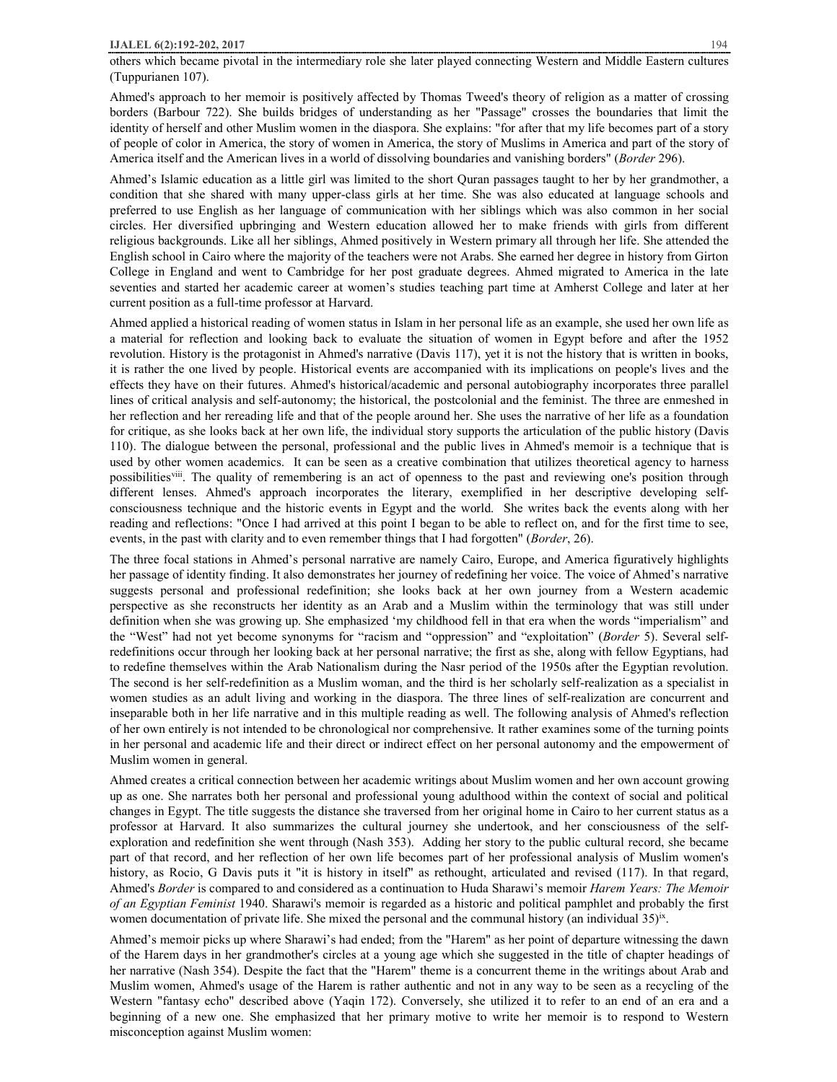others which became pivotal in the intermediary role she later played connecting Western and Middle Eastern cultures (Tuppurianen 107).

Ahmed's approach to her memoir is positively affected by Thomas Tweed's theory of religion as a matter of crossing borders (Barbour 722). She builds bridges of understanding as her "Passage" crosses the boundaries that limit the identity of herself and other Muslim women in the diaspora. She explains: "for after that my life becomes part of a story of people of color in America, the story of women in America, the story of Muslims in America and part of the story of America itself and the American lives in a world of dissolving boundaries and vanishing borders" (*Border* 296).

Ahmed's Islamic education as a little girl was limited to the short Quran passages taught to her by her grandmother, a condition that she shared with many upper-class girls at her time. She was also educated at language schools and preferred to use English as her language of communication with her siblings which was also common in her social circles. Her diversified upbringing and Western education allowed her to make friends with girls from different religious backgrounds. Like all her siblings, Ahmed positively in Western primary all through her life. She attended the English school in Cairo where the majority of the teachers were not Arabs. She earned her degree in history from Girton College in England and went to Cambridge for her post graduate degrees. Ahmed migrated to America in the late seventies and started her academic career at women's studies teaching part time at Amherst College and later at her current position as a full-time professor at Harvard.

Ahmed applied a historical reading of women status in Islam in her personal life as an example, she used her own life as a material for reflection and looking back to evaluate the situation of women in Egypt before and after the 1952 revolution. History is the protagonist in Ahmed's narrative (Davis 117), yet it is not the history that is written in books, it is rather the one lived by people. Historical events are accompanied with its implications on people's lives and the effects they have on their futures. Ahmed's historical/academic and personal autobiography incorporates three parallel lines of critical analysis and self-autonomy; the historical, the postcolonial and the feminist. The three are enmeshed in her reflection and her rereading life and that of the people around her. She uses the narrative of her life as a foundation for critique, as she looks back at her own life, the individual story supports the articulation of the public history (Davis 110). The dialogue between the personal, professional and the public lives in Ahmed's memoir is a technique that is used by other women academics. It can be seen as a creative combination that utilizes theoretical agency to harness possibilities<sup>viii</sup>. The quality of remembering is an act of openness to the past and reviewing one's position through different lenses. Ahmed's approach incorporates the literary, exemplified in her descriptive developing selfconsciousness technique and the historic events in Egypt and the world. She writes back the events along with her reading and reflections: "Once I had arrived at this point I began to be able to reflect on, and for the first time to see, events, in the past with clarity and to even remember things that I had forgotten" (*Border*, 26).

The three focal stations in Ahmed's personal narrative are namely Cairo, Europe, and America figuratively highlights her passage of identity finding. It also demonstrates her journey of redefining her voice. The voice of Ahmed's narrative suggests personal and professional redefinition; she looks back at her own journey from a Western academic perspective as she reconstructs her identity as an Arab and a Muslim within the terminology that was still under definition when she was growing up. She emphasized 'my childhood fell in that era when the words "imperialism" and the "West" had not yet become synonyms for "racism and "oppression" and "exploitation" (*Border* 5). Several selfredefinitions occur through her looking back at her personal narrative; the first as she, along with fellow Egyptians, had to redefine themselves within the Arab Nationalism during the Nasr period of the 1950s after the Egyptian revolution. The second is her self-redefinition as a Muslim woman, and the third is her scholarly self-realization as a specialist in women studies as an adult living and working in the diaspora. The three lines of self-realization are concurrent and inseparable both in her life narrative and in this multiple reading as well. The following analysis of Ahmed's reflection of her own entirely is not intended to be chronological nor comprehensive. It rather examines some of the turning points in her personal and academic life and their direct or indirect effect on her personal autonomy and the empowerment of Muslim women in general.

Ahmed creates a critical connection between her academic writings about Muslim women and her own account growing up as one. She narrates both her personal and professional young adulthood within the context of social and political changes in Egypt. The title suggests the distance she traversed from her original home in Cairo to her current status as a professor at Harvard. It also summarizes the cultural journey she undertook, and her consciousness of the selfexploration and redefinition she went through (Nash 353). Adding her story to the public cultural record, she became part of that record, and her reflection of her own life becomes part of her professional analysis of Muslim women's history, as Rocio, G Davis puts it "it is history in itself" as rethought, articulated and revised (117). In that regard, Ahmed's *Border* is compared to and considered as a continuation to Huda Sharawi's memoir *Harem Years: The Memoir of an Egyptian Feminist* 1940. Sharawi's memoir is regarded as a historic and political pamphlet and probably the first women documentation of private life. She mixed the personal and the communal history (an individual  $35)$ <sup>ix</sup>.

Ahmed's memoir picks up where Sharawi's had ended; from the "Harem" as her point of departure witnessing the dawn of the Harem days in her grandmother's circles at a young age which she suggested in the title of chapter headings of her narrative (Nash 354). Despite the fact that the "Harem" theme is a concurrent theme in the writings about Arab and Muslim women, Ahmed's usage of the Harem is rather authentic and not in any way to be seen as a recycling of the Western "fantasy echo" described above (Yaqin 172). Conversely, she utilized it to refer to an end of an era and a beginning of a new one. She emphasized that her primary motive to write her memoir is to respond to Western misconception against Muslim women: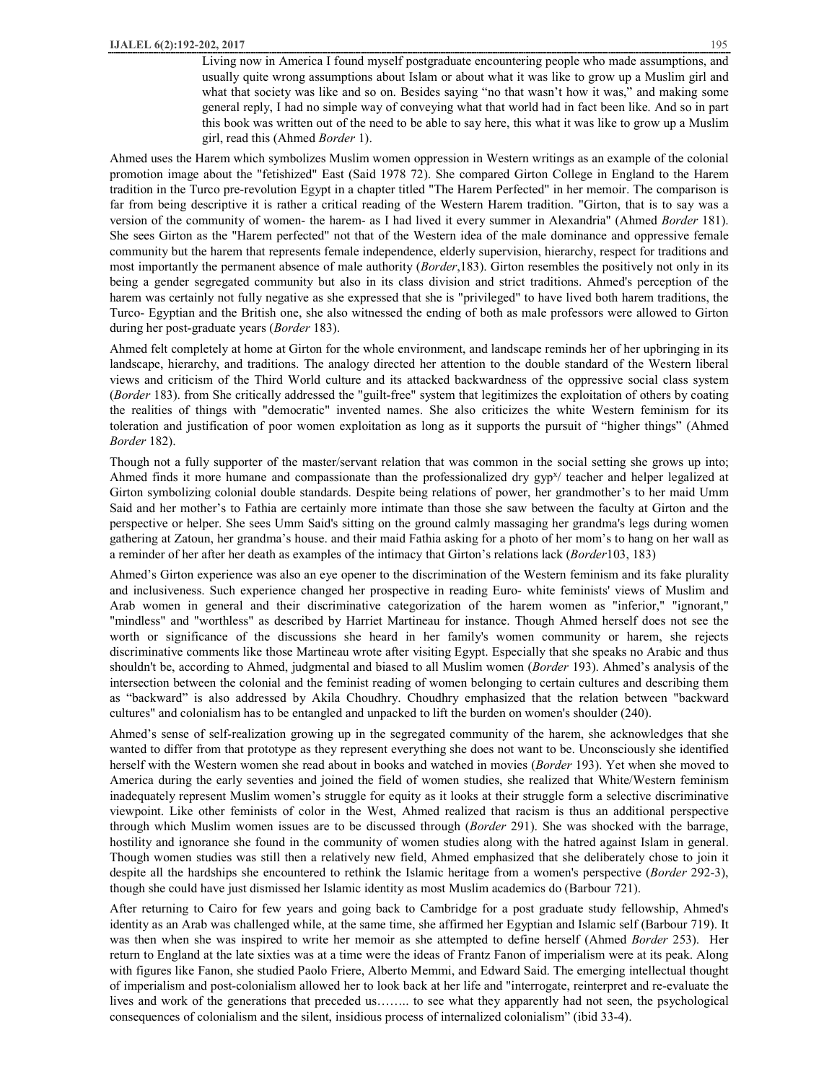Living now in America I found myself postgraduate encountering people who made assumptions, and usually quite wrong assumptions about Islam or about what it was like to grow up a Muslim girl and what that society was like and so on. Besides saying "no that wasn't how it was," and making some general reply, I had no simple way of conveying what that world had in fact been like. And so in part this book was written out of the need to be able to say here, this what it was like to grow up a Muslim girl, read this (Ahmed *Border* 1).

Ahmed uses the Harem which symbolizes Muslim women oppression in Western writings as an example of the colonial promotion image about the "fetishized" East (Said 1978 72). She compared Girton College in England to the Harem tradition in the Turco pre-revolution Egypt in a chapter titled "The Harem Perfected" in her memoir. The comparison is far from being descriptive it is rather a critical reading of the Western Harem tradition. "Girton, that is to say was a version of the community of women- the harem- as I had lived it every summer in Alexandria" (Ahmed *Border* 181). She sees Girton as the "Harem perfected" not that of the Western idea of the male dominance and oppressive female community but the harem that represents female independence, elderly supervision, hierarchy, respect for traditions and most importantly the permanent absence of male authority (*Border*,183). Girton resembles the positively not only in its being a gender segregated community but also in its class division and strict traditions. Ahmed's perception of the harem was certainly not fully negative as she expressed that she is "privileged" to have lived both harem traditions, the Turco- Egyptian and the British one, she also witnessed the ending of both as male professors were allowed to Girton during her post-graduate years (*Border* 183).

Ahmed felt completely at home at Girton for the whole environment, and landscape reminds her of her upbringing in its landscape, hierarchy, and traditions. The analogy directed her attention to the double standard of the Western liberal views and criticism of the Third World culture and its attacked backwardness of the oppressive social class system (*Border* 183). from She critically addressed the "guilt-free" system that legitimizes the exploitation of others by coating the realities of things with "democratic" invented names. She also criticizes the white Western feminism for its toleration and justification of poor women exploitation as long as it supports the pursuit of "higher things" (Ahmed *Border* 182).

Though not a fully supporter of the master/servant relation that was common in the social setting she grows up into; Ahmed finds it more humane and compassionate than the professionalized dry  $gyp^{\gamma}/$  teacher and helper legalized at Girton symbolizing colonial double standards. Despite being relations of power, her grandmother's to her maid Umm Said and her mother's to Fathia are certainly more intimate than those she saw between the faculty at Girton and the perspective or helper. She sees Umm Said's sitting on the ground calmly massaging her grandma's legs during women gathering at Zatoun, her grandma's house. and their maid Fathia asking for a photo of her mom's to hang on her wall as a reminder of her after her death as examples of the intimacy that Girton's relations lack (*Border*103, 183)

Ahmed's Girton experience was also an eye opener to the discrimination of the Western feminism and its fake plurality and inclusiveness. Such experience changed her prospective in reading Euro- white feminists' views of Muslim and Arab women in general and their discriminative categorization of the harem women as "inferior," "ignorant," "mindless" and "worthless" as described by Harriet Martineau for instance. Though Ahmed herself does not see the worth or significance of the discussions she heard in her family's women community or harem, she rejects discriminative comments like those Martineau wrote after visiting Egypt. Especially that she speaks no Arabic and thus shouldn't be, according to Ahmed, judgmental and biased to all Muslim women (*Border* 193). Ahmed's analysis of the intersection between the colonial and the feminist reading of women belonging to certain cultures and describing them as "backward" is also addressed by Akila Choudhry. Choudhry emphasized that the relation between "backward cultures" and colonialism has to be entangled and unpacked to lift the burden on women's shoulder (240).

Ahmed's sense of self-realization growing up in the segregated community of the harem, she acknowledges that she wanted to differ from that prototype as they represent everything she does not want to be. Unconsciously she identified herself with the Western women she read about in books and watched in movies (*Border* 193). Yet when she moved to America during the early seventies and joined the field of women studies, she realized that White/Western feminism inadequately represent Muslim women's struggle for equity as it looks at their struggle form a selective discriminative viewpoint. Like other feminists of color in the West, Ahmed realized that racism is thus an additional perspective through which Muslim women issues are to be discussed through (*Border* 291). She was shocked with the barrage, hostility and ignorance she found in the community of women studies along with the hatred against Islam in general. Though women studies was still then a relatively new field, Ahmed emphasized that she deliberately chose to join it despite all the hardships she encountered to rethink the Islamic heritage from a women's perspective (*Border* 292-3), though she could have just dismissed her Islamic identity as most Muslim academics do (Barbour 721).

After returning to Cairo for few years and going back to Cambridge for a post graduate study fellowship, Ahmed's identity as an Arab was challenged while, at the same time, she affirmed her Egyptian and Islamic self (Barbour 719). It was then when she was inspired to write her memoir as she attempted to define herself (Ahmed *Border* 253). Her return to England at the late sixties was at a time were the ideas of Frantz Fanon of imperialism were at its peak. Along with figures like Fanon, she studied Paolo Friere, Alberto Memmi, and Edward Said. The emerging intellectual thought of imperialism and post-colonialism allowed her to look back at her life and "interrogate, reinterpret and re-evaluate the lives and work of the generations that preceded us…….. to see what they apparently had not seen, the psychological consequences of colonialism and the silent, insidious process of internalized colonialism" (ibid 33-4).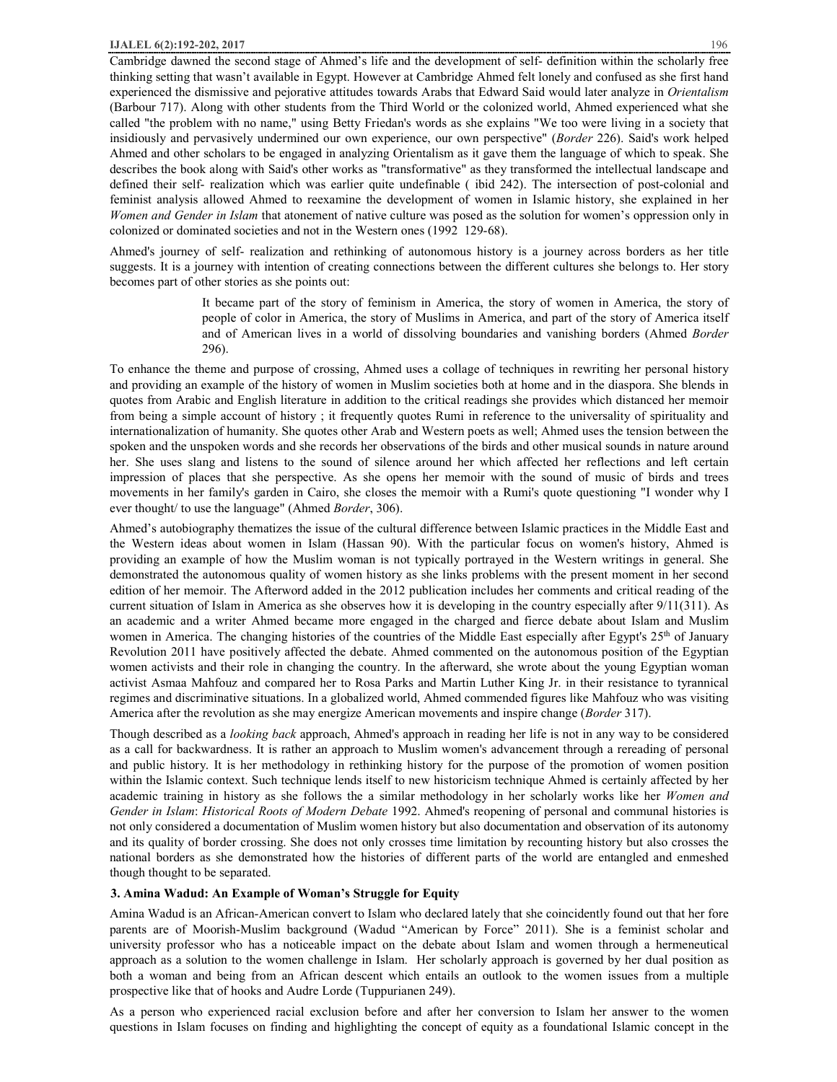Cambridge dawned the second stage of Ahmed's life and the development of self- definition within the scholarly free thinking setting that wasn't available in Egypt. However at Cambridge Ahmed felt lonely and confused as she first hand experienced the dismissive and pejorative attitudes towards Arabs that Edward Said would later analyze in *Orientalism*  (Barbour 717). Along with other students from the Third World or the colonized world, Ahmed experienced what she called "the problem with no name," using Betty Friedan's words as she explains "We too were living in a society that insidiously and pervasively undermined our own experience, our own perspective" (*Border* 226). Said's work helped Ahmed and other scholars to be engaged in analyzing Orientalism as it gave them the language of which to speak. She describes the book along with Said's other works as "transformative" as they transformed the intellectual landscape and defined their self- realization which was earlier quite undefinable ( ibid 242). The intersection of post-colonial and feminist analysis allowed Ahmed to reexamine the development of women in Islamic history, she explained in her *Women and Gender in Islam* that atonement of native culture was posed as the solution for women's oppression only in colonized or dominated societies and not in the Western ones (1992 129-68).

Ahmed's journey of self- realization and rethinking of autonomous history is a journey across borders as her title suggests. It is a journey with intention of creating connections between the different cultures she belongs to. Her story becomes part of other stories as she points out:

> It became part of the story of feminism in America, the story of women in America, the story of people of color in America, the story of Muslims in America, and part of the story of America itself and of American lives in a world of dissolving boundaries and vanishing borders (Ahmed *Border*  296).

To enhance the theme and purpose of crossing, Ahmed uses a collage of techniques in rewriting her personal history and providing an example of the history of women in Muslim societies both at home and in the diaspora. She blends in quotes from Arabic and English literature in addition to the critical readings she provides which distanced her memoir from being a simple account of history ; it frequently quotes Rumi in reference to the universality of spirituality and internationalization of humanity. She quotes other Arab and Western poets as well; Ahmed uses the tension between the spoken and the unspoken words and she records her observations of the birds and other musical sounds in nature around her. She uses slang and listens to the sound of silence around her which affected her reflections and left certain impression of places that she perspective. As she opens her memoir with the sound of music of birds and trees movements in her family's garden in Cairo, she closes the memoir with a Rumi's quote questioning "I wonder why I ever thought/ to use the language" (Ahmed *Border*, 306).

Ahmed's autobiography thematizes the issue of the cultural difference between Islamic practices in the Middle East and the Western ideas about women in Islam (Hassan 90). With the particular focus on women's history, Ahmed is providing an example of how the Muslim woman is not typically portrayed in the Western writings in general. She demonstrated the autonomous quality of women history as she links problems with the present moment in her second edition of her memoir. The Afterword added in the 2012 publication includes her comments and critical reading of the current situation of Islam in America as she observes how it is developing in the country especially after 9/11(311). As an academic and a writer Ahmed became more engaged in the charged and fierce debate about Islam and Muslim women in America. The changing histories of the countries of the Middle East especially after Egypt's  $25<sup>th</sup>$  of January Revolution 2011 have positively affected the debate. Ahmed commented on the autonomous position of the Egyptian women activists and their role in changing the country. In the afterward, she wrote about the young Egyptian woman activist Asmaa Mahfouz and compared her to Rosa Parks and Martin Luther King Jr. in their resistance to tyrannical regimes and discriminative situations. In a globalized world, Ahmed commended figures like Mahfouz who was visiting America after the revolution as she may energize American movements and inspire change (*Border* 317).

Though described as a *looking back* approach, Ahmed's approach in reading her life is not in any way to be considered as a call for backwardness. It is rather an approach to Muslim women's advancement through a rereading of personal and public history. It is her methodology in rethinking history for the purpose of the promotion of women position within the Islamic context. Such technique lends itself to new historicism technique Ahmed is certainly affected by her academic training in history as she follows the a similar methodology in her scholarly works like her *Women and Gender in Islam*: *Historical Roots of Modern Debate* 1992. Ahmed's reopening of personal and communal histories is not only considered a documentation of Muslim women history but also documentation and observation of its autonomy and its quality of border crossing. She does not only crosses time limitation by recounting history but also crosses the national borders as she demonstrated how the histories of different parts of the world are entangled and enmeshed though thought to be separated.

## **3. Amina Wadud: An Example of Woman's Struggle for Equity**

Amina Wadud is an African-American convert to Islam who declared lately that she coincidently found out that her fore parents are of Moorish-Muslim background (Wadud "American by Force" 2011). She is a feminist scholar and university professor who has a noticeable impact on the debate about Islam and women through a hermeneutical approach as a solution to the women challenge in Islam. Her scholarly approach is governed by her dual position as both a woman and being from an African descent which entails an outlook to the women issues from a multiple prospective like that of hooks and Audre Lorde (Tuppurianen 249).

As a person who experienced racial exclusion before and after her conversion to Islam her answer to the women questions in Islam focuses on finding and highlighting the concept of equity as a foundational Islamic concept in the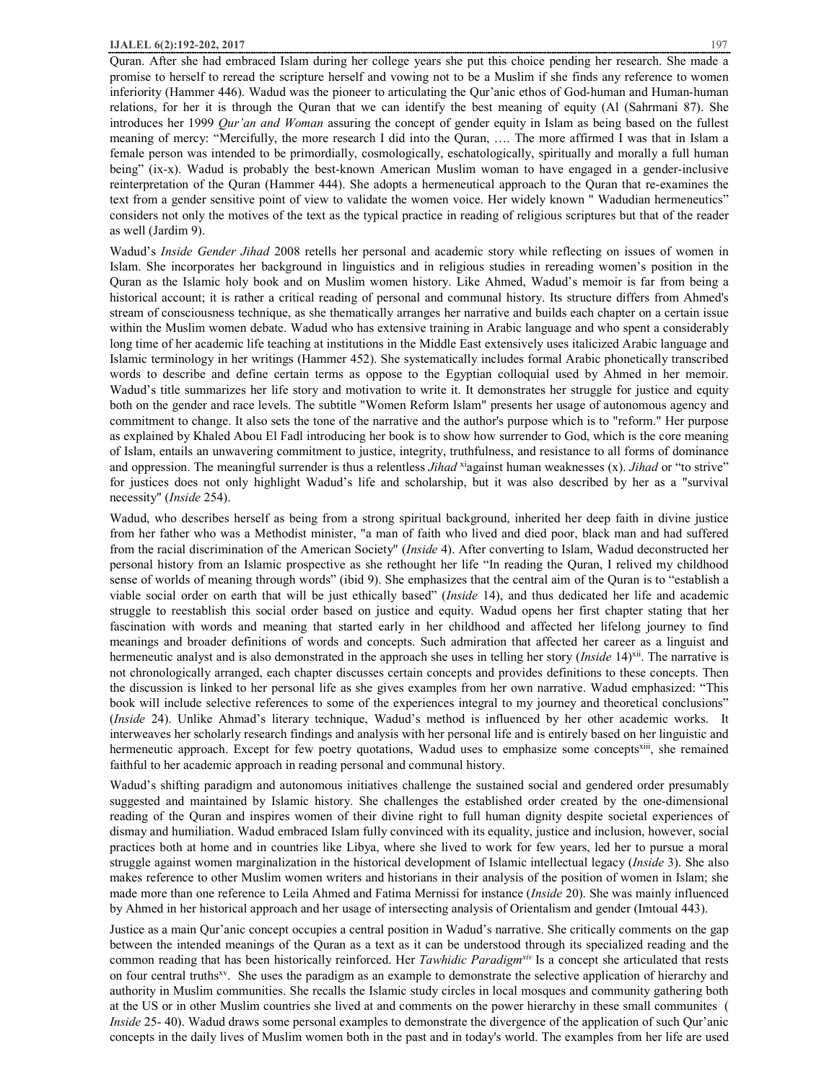Quran. After she had embraced Islam during her college years she put this choice pending her research. She made a promise to herself to reread the scripture herself and vowing not to be a Muslim if she finds any reference to women inferiority (Hammer 446). Wadud was the pioneer to articulating the Qur'anic ethos of God-human and Human-human relations, for her it is through the Quran that we can identify the best meaning of equity (Al (Sahrmani 87). She introduces her 1999 *Qur'an and Woman* assuring the concept of gender equity in Islam as being based on the fullest meaning of mercy: "Mercifully, the more research I did into the Quran, …. The more affirmed I was that in Islam a female person was intended to be primordially, cosmologically, eschatologically, spiritually and morally a full human being" (ix-x). Wadud is probably the best-known American Muslim woman to have engaged in a gender-inclusive reinterpretation of the Quran (Hammer 444). She adopts a hermeneutical approach to the Quran that re-examines the text from a gender sensitive point of view to validate the women voice. Her widely known " Wadudian hermeneutics" considers not only the motives of the text as the typical practice in reading of religious scriptures but that of the reader as well (Jardim 9).

Wadud's *Inside Gender Jihad* 2008 retells her personal and academic story while reflecting on issues of women in Islam. She incorporates her background in linguistics and in religious studies in rereading women's position in the Quran as the Islamic holy book and on Muslim women history. Like Ahmed, Wadud's memoir is far from being a historical account; it is rather a critical reading of personal and communal history. Its structure differs from Ahmed's stream of consciousness technique, as she thematically arranges her narrative and builds each chapter on a certain issue within the Muslim women debate. Wadud who has extensive training in Arabic language and who spent a considerably long time of her academic life teaching at institutions in the Middle East extensively uses italicized Arabic language and Islamic terminology in her writings (Hammer 452). She systematically includes formal Arabic phonetically transcribed words to describe and define certain terms as oppose to the Egyptian colloquial used by Ahmed in her memoir. Wadud's title summarizes her life story and motivation to write it. It demonstrates her struggle for justice and equity both on the gender and race levels. The subtitle "Women Reform Islam" presents her usage of autonomous agency and commitment to change. It also sets the tone of the narrative and the author's purpose which is to "reform." Her purpose as explained by Khaled Abou El Fadl introducing her book is to show how surrender to God, which is the core meaning of Islam, entails an unwavering commitment to justice, integrity, truthfulness, and resistance to all forms of dominance and oppression. The meaningful surrender is thus a relentless *Jihad* <sup>xi</sup>against human weaknesses (x). *Jihad* or "to strive" for justices does not only highlight Wadud's life and scholarship, but it was also described by her as a "survival necessity" (*Inside* 254).

Wadud, who describes herself as being from a strong spiritual background, inherited her deep faith in divine justice from her father who was a Methodist minister, "a man of faith who lived and died poor, black man and had suffered from the racial discrimination of the American Society" (*Inside* 4). After converting to Islam, Wadud deconstructed her personal history from an Islamic prospective as she rethought her life "In reading the Quran, I relived my childhood sense of worlds of meaning through words" (ibid 9). She emphasizes that the central aim of the Quran is to "establish a viable social order on earth that will be just ethically based" (*Inside* 14), and thus dedicated her life and academic struggle to reestablish this social order based on justice and equity. Wadud opens her first chapter stating that her fascination with words and meaning that started early in her childhood and affected her lifelong journey to find meanings and broader definitions of words and concepts. Such admiration that affected her career as a linguist and hermeneutic analyst and is also demonstrated in the approach she uses in telling her story (*Inside* 14)<sup>xii</sup>. The narrative is not chronologically arranged, each chapter discusses certain concepts and provides definitions to these concepts. Then the discussion is linked to her personal life as she gives examples from her own narrative. Wadud emphasized: "This book will include selective references to some of the experiences integral to my journey and theoretical conclusions" (*Inside* 24). Unlike Ahmad's literary technique, Wadud's method is influenced by her other academic works. It interweaves her scholarly research findings and analysis with her personal life and is entirely based on her linguistic and hermeneutic approach. Except for few poetry quotations, Wadud uses to emphasize some concepts<sup>xiii</sup>, she remained faithful to her academic approach in reading personal and communal history.

Wadud's shifting paradigm and autonomous initiatives challenge the sustained social and gendered order presumably suggested and maintained by Islamic history. She challenges the established order created by the one-dimensional reading of the Quran and inspires women of their divine right to full human dignity despite societal experiences of dismay and humiliation. Wadud embraced Islam fully convinced with its equality, justice and inclusion, however, social practices both at home and in countries like Libya, where she lived to work for few years, led her to pursue a moral struggle against women marginalization in the historical development of Islamic intellectual legacy (*Inside* 3). She also makes reference to other Muslim women writers and historians in their analysis of the position of women in Islam; she made more than one reference to Leila Ahmed and Fatima Mernissi for instance (*Inside* 20). She was mainly influenced by Ahmed in her historical approach and her usage of intersecting analysis of Orientalism and gender (Imtoual 443).

Justice as a main Qur'anic concept occupies a central position in Wadud's narrative. She critically comments on the gap between the intended meanings of the Quran as a text as it can be understood through its specialized reading and the common reading that has been historically reinforced. Her *Tawhidic Paradigmxiv* Is a concept she articulated that rests on four central truths<sup>xv</sup>. She uses the paradigm as an example to demonstrate the selective application of hierarchy and authority in Muslim communities. She recalls the Islamic study circles in local mosques and community gathering both at the US or in other Muslim countries she lived at and comments on the power hierarchy in these small communites ( *Inside* 25- 40). Wadud draws some personal examples to demonstrate the divergence of the application of such Qur'anic concepts in the daily lives of Muslim women both in the past and in today's world. The examples from her life are used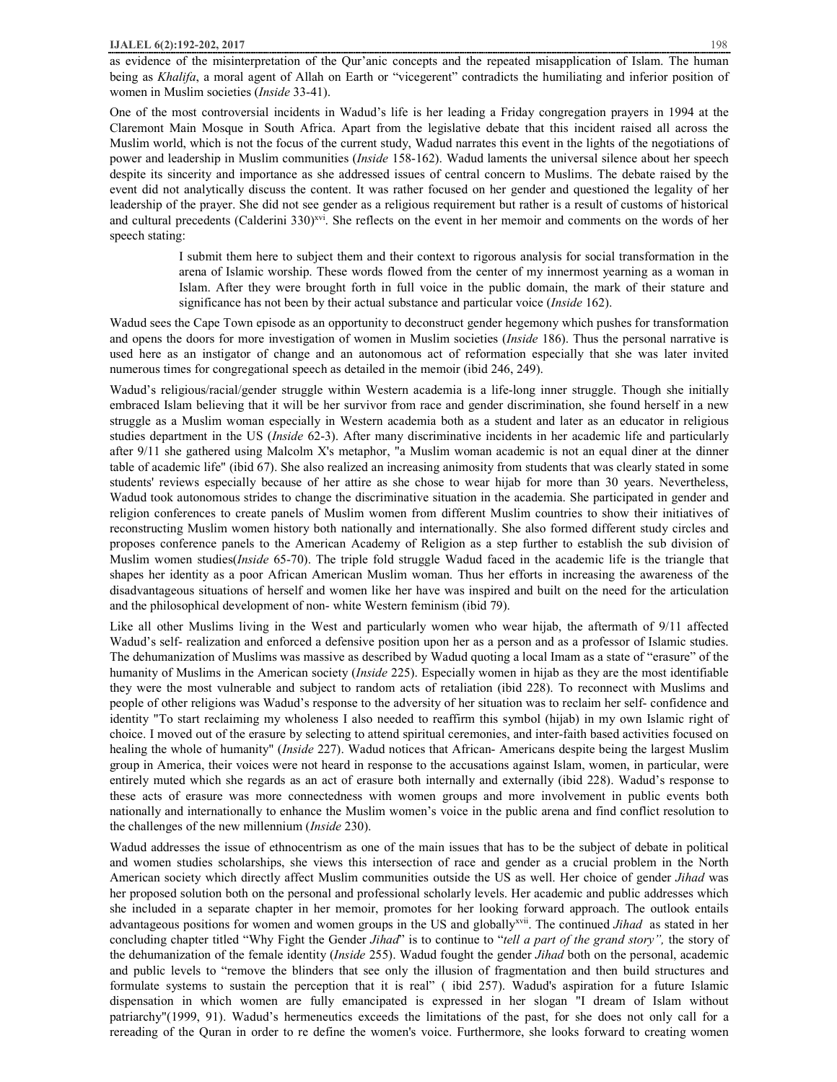One of the most controversial incidents in Wadud's life is her leading a Friday congregation prayers in 1994 at the Claremont Main Mosque in South Africa. Apart from the legislative debate that this incident raised all across the Muslim world, which is not the focus of the current study, Wadud narrates this event in the lights of the negotiations of power and leadership in Muslim communities (*Inside* 158-162). Wadud laments the universal silence about her speech despite its sincerity and importance as she addressed issues of central concern to Muslims. The debate raised by the event did not analytically discuss the content. It was rather focused on her gender and questioned the legality of her leadership of the prayer. She did not see gender as a religious requirement but rather is a result of customs of historical and cultural precedents (Calderini 330)<sup>xvi</sup>. She reflects on the event in her memoir and comments on the words of her speech stating:

> I submit them here to subject them and their context to rigorous analysis for social transformation in the arena of Islamic worship. These words flowed from the center of my innermost yearning as a woman in Islam. After they were brought forth in full voice in the public domain, the mark of their stature and significance has not been by their actual substance and particular voice (*Inside* 162).

Wadud sees the Cape Town episode as an opportunity to deconstruct gender hegemony which pushes for transformation and opens the doors for more investigation of women in Muslim societies (*Inside* 186). Thus the personal narrative is used here as an instigator of change and an autonomous act of reformation especially that she was later invited numerous times for congregational speech as detailed in the memoir (ibid 246, 249).

Wadud's religious/racial/gender struggle within Western academia is a life-long inner struggle. Though she initially embraced Islam believing that it will be her survivor from race and gender discrimination, she found herself in a new struggle as a Muslim woman especially in Western academia both as a student and later as an educator in religious studies department in the US (*Inside* 62-3). After many discriminative incidents in her academic life and particularly after 9/11 she gathered using Malcolm X's metaphor, "a Muslim woman academic is not an equal diner at the dinner table of academic life" (ibid 67). She also realized an increasing animosity from students that was clearly stated in some students' reviews especially because of her attire as she chose to wear hijab for more than 30 years. Nevertheless, Wadud took autonomous strides to change the discriminative situation in the academia. She participated in gender and religion conferences to create panels of Muslim women from different Muslim countries to show their initiatives of reconstructing Muslim women history both nationally and internationally. She also formed different study circles and proposes conference panels to the American Academy of Religion as a step further to establish the sub division of Muslim women studies(*Inside* 65-70). The triple fold struggle Wadud faced in the academic life is the triangle that shapes her identity as a poor African American Muslim woman. Thus her efforts in increasing the awareness of the disadvantageous situations of herself and women like her have was inspired and built on the need for the articulation and the philosophical development of non- white Western feminism (ibid 79).

Like all other Muslims living in the West and particularly women who wear hijab, the aftermath of 9/11 affected Wadud's self- realization and enforced a defensive position upon her as a person and as a professor of Islamic studies. The dehumanization of Muslims was massive as described by Wadud quoting a local Imam as a state of "erasure" of the humanity of Muslims in the American society (*Inside* 225). Especially women in hijab as they are the most identifiable they were the most vulnerable and subject to random acts of retaliation (ibid 228). To reconnect with Muslims and people of other religions was Wadud's response to the adversity of her situation was to reclaim her self- confidence and identity "To start reclaiming my wholeness I also needed to reaffirm this symbol (hijab) in my own Islamic right of choice. I moved out of the erasure by selecting to attend spiritual ceremonies, and inter-faith based activities focused on healing the whole of humanity" (*Inside* 227). Wadud notices that African- Americans despite being the largest Muslim group in America, their voices were not heard in response to the accusations against Islam, women, in particular, were entirely muted which she regards as an act of erasure both internally and externally (ibid 228). Wadud's response to these acts of erasure was more connectedness with women groups and more involvement in public events both nationally and internationally to enhance the Muslim women's voice in the public arena and find conflict resolution to the challenges of the new millennium (*Inside* 230).

Wadud addresses the issue of ethnocentrism as one of the main issues that has to be the subject of debate in political and women studies scholarships, she views this intersection of race and gender as a crucial problem in the North American society which directly affect Muslim communities outside the US as well. Her choice of gender *Jihad* was her proposed solution both on the personal and professional scholarly levels. Her academic and public addresses which she included in a separate chapter in her memoir, promotes for her looking forward approach. The outlook entails advantageous positions for women and women groups in the US and globallyxvii . The continued *Jihad* as stated in her concluding chapter titled "Why Fight the Gender *Jihad*" is to continue to "*tell a part of the grand story",* the story of the dehumanization of the female identity (*Inside* 255). Wadud fought the gender *Jihad* both on the personal, academic and public levels to "remove the blinders that see only the illusion of fragmentation and then build structures and formulate systems to sustain the perception that it is real" ( ibid 257). Wadud's aspiration for a future Islamic dispensation in which women are fully emancipated is expressed in her slogan "I dream of Islam without patriarchy"(1999, 91). Wadud's hermeneutics exceeds the limitations of the past, for she does not only call for a rereading of the Quran in order to re define the women's voice. Furthermore, she looks forward to creating women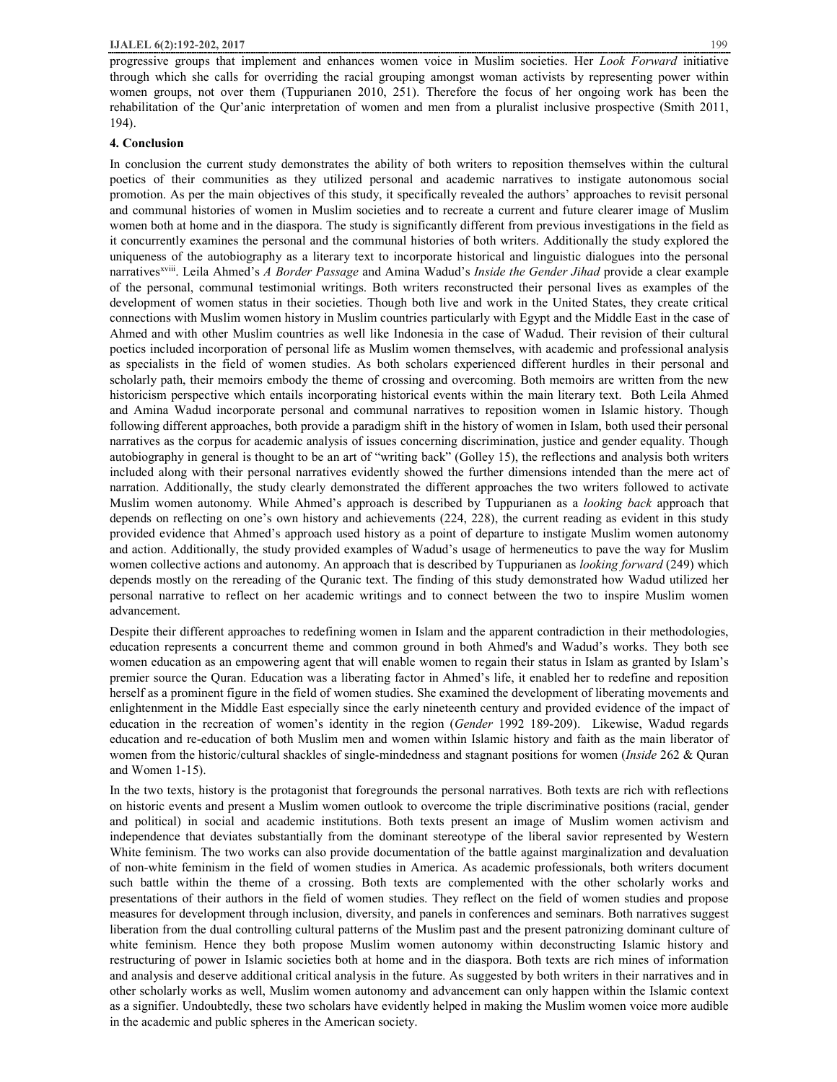progressive groups that implement and enhances women voice in Muslim societies. Her *Look Forward* initiative through which she calls for overriding the racial grouping amongst woman activists by representing power within women groups, not over them (Tuppurianen 2010, 251). Therefore the focus of her ongoing work has been the rehabilitation of the Qur'anic interpretation of women and men from a pluralist inclusive prospective (Smith 2011, 194).

#### **4. Conclusion**

In conclusion the current study demonstrates the ability of both writers to reposition themselves within the cultural poetics of their communities as they utilized personal and academic narratives to instigate autonomous social promotion. As per the main objectives of this study, it specifically revealed the authors' approaches to revisit personal and communal histories of women in Muslim societies and to recreate a current and future clearer image of Muslim women both at home and in the diaspora. The study is significantly different from previous investigations in the field as it concurrently examines the personal and the communal histories of both writers. Additionally the study explored the uniqueness of the autobiography as a literary text to incorporate historical and linguistic dialogues into the personal narrativesxviii . Leila Ahmed's *A Border Passage* and Amina Wadud's *Inside the Gender Jihad* provide a clear example of the personal, communal testimonial writings. Both writers reconstructed their personal lives as examples of the development of women status in their societies. Though both live and work in the United States, they create critical connections with Muslim women history in Muslim countries particularly with Egypt and the Middle East in the case of Ahmed and with other Muslim countries as well like Indonesia in the case of Wadud. Their revision of their cultural poetics included incorporation of personal life as Muslim women themselves, with academic and professional analysis as specialists in the field of women studies. As both scholars experienced different hurdles in their personal and scholarly path, their memoirs embody the theme of crossing and overcoming. Both memoirs are written from the new historicism perspective which entails incorporating historical events within the main literary text. Both Leila Ahmed and Amina Wadud incorporate personal and communal narratives to reposition women in Islamic history. Though following different approaches, both provide a paradigm shift in the history of women in Islam, both used their personal narratives as the corpus for academic analysis of issues concerning discrimination, justice and gender equality. Though autobiography in general is thought to be an art of "writing back" (Golley 15), the reflections and analysis both writers included along with their personal narratives evidently showed the further dimensions intended than the mere act of narration. Additionally, the study clearly demonstrated the different approaches the two writers followed to activate Muslim women autonomy. While Ahmed's approach is described by Tuppurianen as a *looking back* approach that depends on reflecting on one's own history and achievements (224, 228), the current reading as evident in this study provided evidence that Ahmed's approach used history as a point of departure to instigate Muslim women autonomy and action. Additionally, the study provided examples of Wadud's usage of hermeneutics to pave the way for Muslim women collective actions and autonomy. An approach that is described by Tuppurianen as *looking forward* (249) which depends mostly on the rereading of the Quranic text. The finding of this study demonstrated how Wadud utilized her personal narrative to reflect on her academic writings and to connect between the two to inspire Muslim women advancement.

Despite their different approaches to redefining women in Islam and the apparent contradiction in their methodologies, education represents a concurrent theme and common ground in both Ahmed's and Wadud's works. They both see women education as an empowering agent that will enable women to regain their status in Islam as granted by Islam's premier source the Quran. Education was a liberating factor in Ahmed's life, it enabled her to redefine and reposition herself as a prominent figure in the field of women studies. She examined the development of liberating movements and enlightenment in the Middle East especially since the early nineteenth century and provided evidence of the impact of education in the recreation of women's identity in the region (*Gender* 1992 189-209). Likewise, Wadud regards education and re-education of both Muslim men and women within Islamic history and faith as the main liberator of women from the historic/cultural shackles of single-mindedness and stagnant positions for women (*Inside* 262 & Quran and Women 1-15).

In the two texts, history is the protagonist that foregrounds the personal narratives. Both texts are rich with reflections on historic events and present a Muslim women outlook to overcome the triple discriminative positions (racial, gender and political) in social and academic institutions. Both texts present an image of Muslim women activism and independence that deviates substantially from the dominant stereotype of the liberal savior represented by Western White feminism. The two works can also provide documentation of the battle against marginalization and devaluation of non-white feminism in the field of women studies in America. As academic professionals, both writers document such battle within the theme of a crossing. Both texts are complemented with the other scholarly works and presentations of their authors in the field of women studies. They reflect on the field of women studies and propose measures for development through inclusion, diversity, and panels in conferences and seminars. Both narratives suggest liberation from the dual controlling cultural patterns of the Muslim past and the present patronizing dominant culture of white feminism. Hence they both propose Muslim women autonomy within deconstructing Islamic history and restructuring of power in Islamic societies both at home and in the diaspora. Both texts are rich mines of information and analysis and deserve additional critical analysis in the future. As suggested by both writers in their narratives and in other scholarly works as well, Muslim women autonomy and advancement can only happen within the Islamic context as a signifier. Undoubtedly, these two scholars have evidently helped in making the Muslim women voice more audible in the academic and public spheres in the American society.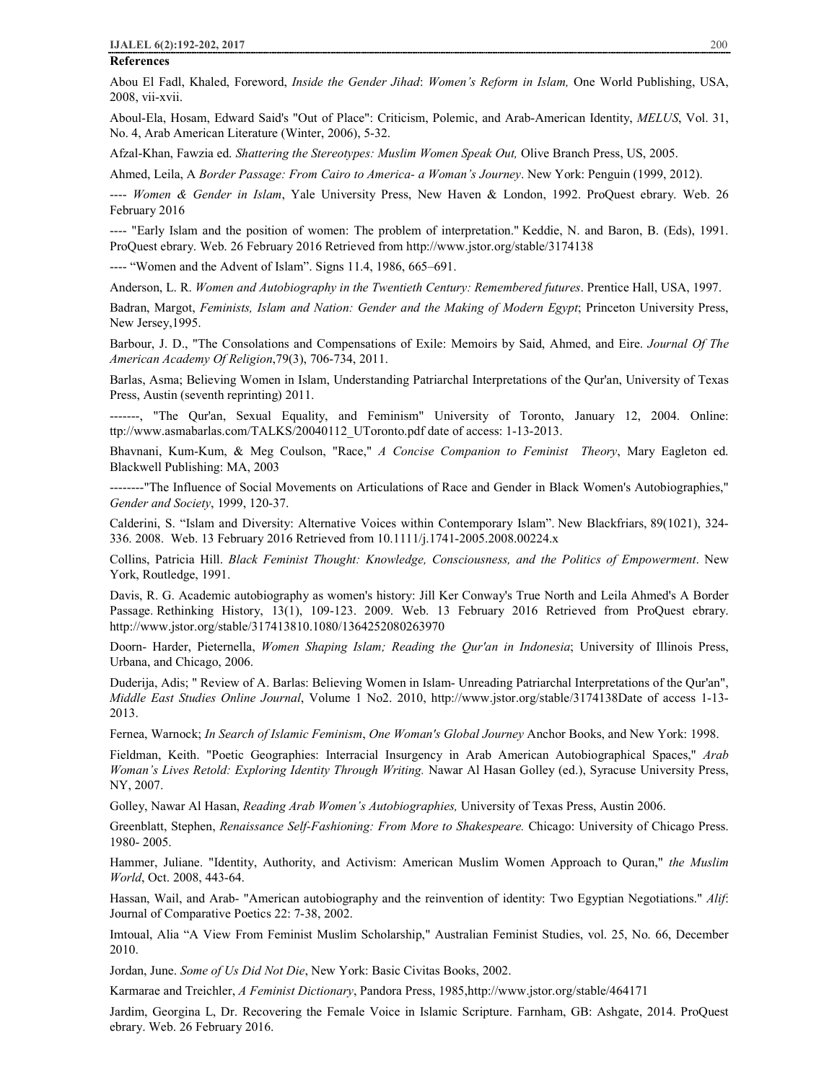#### **References**

Abou El Fadl, Khaled, Foreword, *Inside the Gender Jihad*: *Women's Reform in Islam,* One World Publishing, USA, 2008, vii-xvii.

Aboul-Ela, Hosam, Edward Said's "Out of Place": Criticism, Polemic, and Arab-American Identity, *MELUS*, Vol. 31, No. 4, Arab American Literature (Winter, 2006), 5-32.

Afzal-Khan, Fawzia ed. *Shattering the Stereotypes: Muslim Women Speak Out,* Olive Branch Press, US, 2005.

Ahmed, Leila, A *Border Passage: From Cairo to America- a Woman's Journey*. New York: Penguin (1999, 2012).

---- *Women & Gender in Islam*, Yale University Press, New Haven & London, 1992. ProQuest ebrary. Web. 26 February 2016

---- "Early Islam and the position of women: The problem of interpretation." Keddie, N. and Baron, B. (Eds), 1991. ProQuest ebrary. Web. 26 February 2016 Retrieved from http://www.jstor.org/stable/3174138

---- "Women and the Advent of Islam". Signs 11.4, 1986, 665–691.

Anderson, L. R. *Women and Autobiography in the Twentieth Century: Remembered futures*. Prentice Hall, USA, 1997.

Badran, Margot, *Feminists, Islam and Nation: Gender and the Making of Modern Egypt*; Princeton University Press, New Jersey,1995.

Barbour, J. D., "The Consolations and Compensations of Exile: Memoirs by Said, Ahmed, and Eire. *Journal Of The American Academy Of Religion*,79(3), 706-734, 2011.

Barlas, Asma; Believing Women in Islam, Understanding Patriarchal Interpretations of the Qur'an, University of Texas Press, Austin (seventh reprinting) 2011.

-------, "The Qur'an, Sexual Equality, and Feminism" University of Toronto, January 12, 2004. Online: ttp://www.asmabarlas.com/TALKS/20040112\_UToronto.pdf date of access: 1-13-2013.

Bhavnani, Kum-Kum, & Meg Coulson, "Race," *A Concise Companion to Feminist Theory*, Mary Eagleton ed. Blackwell Publishing: MA, 2003

--------"The Influence of Social Movements on Articulations of Race and Gender in Black Women's Autobiographies," *Gender and Society*, 1999, 120-37.

Calderini, S. "Islam and Diversity: Alternative Voices within Contemporary Islam". New Blackfriars, 89(1021), 324- 336. 2008. Web. 13 February 2016 Retrieved from 10.1111/j.1741-2005.2008.00224.x

Collins, Patricia Hill. *Black Feminist Thought: Knowledge, Consciousness, and the Politics of Empowerment*. New York, Routledge, 1991.

Davis, R. G. Academic autobiography as women's history: Jill Ker Conway's True North and Leila Ahmed's A Border Passage. Rethinking History, 13(1), 109-123. 2009. Web. 13 February 2016 Retrieved from ProQuest ebrary. http://www.jstor.org/stable/317413810.1080/1364252080263970

Doorn- Harder, Pieternella, *Women Shaping Islam; Reading the Qur'an in Indonesia*; University of Illinois Press, Urbana, and Chicago, 2006.

Duderija, Adis; " Review of A. Barlas: Believing Women in Islam- Unreading Patriarchal Interpretations of the Qur'an", *Middle East Studies Online Journal*, Volume 1 No2. 2010, http://www.jstor.org/stable/3174138Date of access 1-13- 2013.

Fernea, Warnock; *In Search of Islamic Feminism*, *One Woman's Global Journey* Anchor Books, and New York: 1998.

Fieldman, Keith. "Poetic Geographies: Interracial Insurgency in Arab American Autobiographical Spaces," *Arab Woman's Lives Retold: Exploring Identity Through Writing.* Nawar Al Hasan Golley (ed.), Syracuse University Press, NY, 2007.

Golley, Nawar Al Hasan, *Reading Arab Women's Autobiographies,* University of Texas Press, Austin 2006.

Greenblatt, Stephen, *Renaissance Self-Fashioning: From More to Shakespeare.* Chicago: University of Chicago Press. 1980- 2005.

Hammer, Juliane. "Identity, Authority, and Activism: American Muslim Women Approach to Quran," *the Muslim World*, Oct. 2008, 443-64.

Hassan, Wail, and Arab- "American autobiography and the reinvention of identity: Two Egyptian Negotiations." *Alif*: Journal of Comparative Poetics 22: 7-38, 2002.

Imtoual, Alia "A View From Feminist Muslim Scholarship," Australian Feminist Studies, vol. 25, No. 66, December 2010.

Jordan, June. *Some of Us Did Not Die*, New York: Basic Civitas Books, 2002.

Karmarae and Treichler, *A Feminist Dictionary*, Pandora Press, 1985,http://www.jstor.org/stable/464171

Jardim, Georgina L, Dr. Recovering the Female Voice in Islamic Scripture. Farnham, GB: Ashgate, 2014. ProQuest ebrary. Web. 26 February 2016.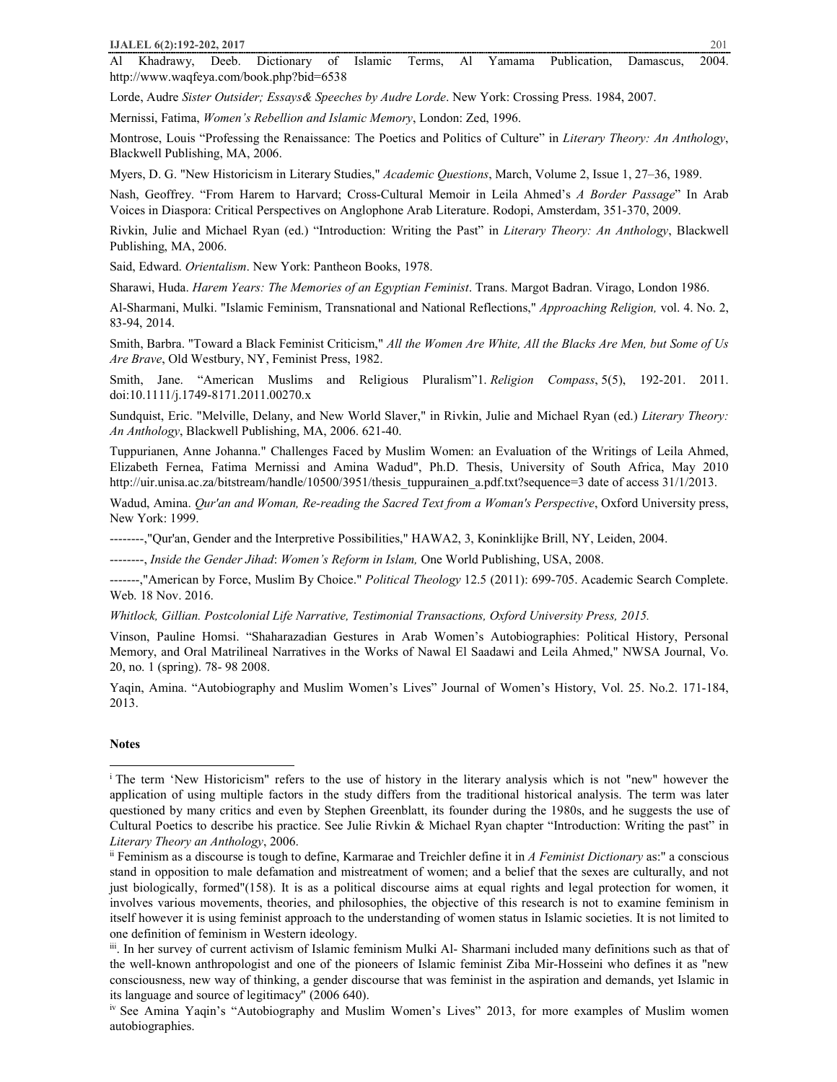Al Khadrawy, Deeb. Dictionary of Islamic Terms, Al Yamama Publication, Damascus, 2004. http://www.waqfeya.com/book.php?bid=6538

Lorde, Audre *Sister Outsider; Essays& Speeches by Audre Lorde*. New York: Crossing Press. 1984, 2007.

Mernissi, Fatima, *Women's Rebellion and Islamic Memory*, London: Zed, 1996.

Montrose, Louis "Professing the Renaissance: The Poetics and Politics of Culture" in *Literary Theory: An Anthology*, Blackwell Publishing, MA, 2006.

Myers, D. G. "New Historicism in Literary Studies," *Academic Questions*, March, Volume 2, Issue 1, 27–36, 1989.

Nash, Geoffrey. "From Harem to Harvard; Cross-Cultural Memoir in Leila Ahmed's *A Border Passage*" In Arab Voices in Diaspora: Critical Perspectives on Anglophone Arab Literature. Rodopi, Amsterdam, 351-370, 2009.

Rivkin, Julie and Michael Ryan (ed.) "Introduction: Writing the Past" in *Literary Theory: An Anthology*, Blackwell Publishing, MA, 2006.

Said, Edward. *Orientalism*. New York: Pantheon Books, 1978.

Sharawi, Huda. *Harem Years: The Memories of an Egyptian Feminist*. Trans. Margot Badran. Virago, London 1986.

Al-Sharmani, Mulki. "Islamic Feminism, Transnational and National Reflections," *Approaching Religion,* vol. 4. No. 2, 83-94, 2014.

Smith, Barbra. "Toward a Black Feminist Criticism," *All the Women Are White, All the Blacks Are Men, but Some of Us Are Brave*, Old Westbury, NY, Feminist Press, 1982.

Smith, Jane. "American Muslims and Religious Pluralism"1. *Religion Compass*, 5(5), 192-201. 2011. doi:10.1111/j.1749-8171.2011.00270.x

Sundquist, Eric. "Melville, Delany, and New World Slaver," in Rivkin, Julie and Michael Ryan (ed.) *Literary Theory: An Anthology*, Blackwell Publishing, MA, 2006. 621-40.

Tuppurianen, Anne Johanna." Challenges Faced by Muslim Women: an Evaluation of the Writings of Leila Ahmed, Elizabeth Fernea, Fatima Mernissi and Amina Wadud", Ph.D. Thesis, University of South Africa, May 2010 http://uir.unisa.ac.za/bitstream/handle/10500/3951/thesis\_tuppurainen\_a.pdf.txt?sequence=3 date of access 31/1/2013.

Wadud, Amina. *Qur'an and Woman, Re-reading the Sacred Text from a Woman's Perspective*, Oxford University press, New York: 1999.

--------,"Qur'an, Gender and the Interpretive Possibilities," HAWA2, 3, Koninklijke Brill, NY, Leiden, 2004.

--------, *Inside the Gender Jihad*: *Women's Reform in Islam,* One World Publishing, USA, 2008.

-------,"American by Force, Muslim By Choice." *Political Theology* 12.5 (2011): 699-705. Academic Search Complete. Web. 18 Nov. 2016.

*Whitlock, Gillian. Postcolonial Life Narrative, Testimonial Transactions, Oxford University Press, 2015.* 

Vinson, Pauline Homsi. "Shaharazadian Gestures in Arab Women's Autobiographies: Political History, Personal Memory, and Oral Matrilineal Narratives in the Works of Nawal El Saadawi and Leila Ahmed," NWSA Journal, Vo. 20, no. 1 (spring). 78- 98 2008.

Yaqin, Amina. "Autobiography and Muslim Women's Lives" Journal of Women's History, Vol. 25. No.2. 171-184, 2013.

## **Notes**

i The term 'New Historicism" refers to the use of history in the literary analysis which is not "new" however the application of using multiple factors in the study differs from the traditional historical analysis. The term was later questioned by many critics and even by Stephen Greenblatt, its founder during the 1980s, and he suggests the use of Cultural Poetics to describe his practice. See Julie Rivkin & Michael Ryan chapter "Introduction: Writing the past" in *Literary Theory an Anthology*, 2006.

ii Feminism as a discourse is tough to define, Karmarae and Treichler define it in *A Feminist Dictionary* as:" a conscious stand in opposition to male defamation and mistreatment of women; and a belief that the sexes are culturally, and not just biologically, formed"(158). It is as a political discourse aims at equal rights and legal protection for women, it involves various movements, theories, and philosophies, the objective of this research is not to examine feminism in itself however it is using feminist approach to the understanding of women status in Islamic societies. It is not limited to one definition of feminism in Western ideology.

iii . In her survey of current activism of Islamic feminism Mulki Al- Sharmani included many definitions such as that of the well-known anthropologist and one of the pioneers of Islamic feminist Ziba Mir-Hosseini who defines it as "new consciousness, new way of thinking, a gender discourse that was feminist in the aspiration and demands, yet Islamic in its language and source of legitimacy" (2006 640).

iv See Amina Yaqin's "Autobiography and Muslim Women's Lives" 2013, for more examples of Muslim women autobiographies.